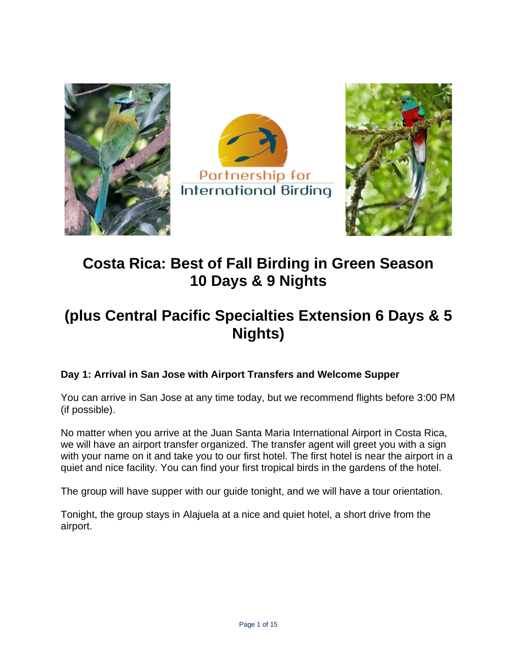





# **Costa Rica: Best of Fall Birding in Green Season 10 Days & 9 Nights**

# **(plus Central Pacific Specialties Extension 6 Days & 5 Nights)**

# **Day 1: Arrival in San Jose with Airport Transfers and Welcome Supper**

You can arrive in San Jose at any time today, but we recommend flights before 3:00 PM (if possible).

No matter when you arrive at the Juan Santa Maria International Airport in Costa Rica, we will have an airport transfer organized. The transfer agent will greet you with a sign with your name on it and take you to our first hotel. The first hotel is near the airport in a quiet and nice facility. You can find your first tropical birds in the gardens of the hotel.

The group will have supper with our guide tonight, and we will have a tour orientation.

Tonight, the group stays in Alajuela at a nice and quiet hotel, a short drive from the airport.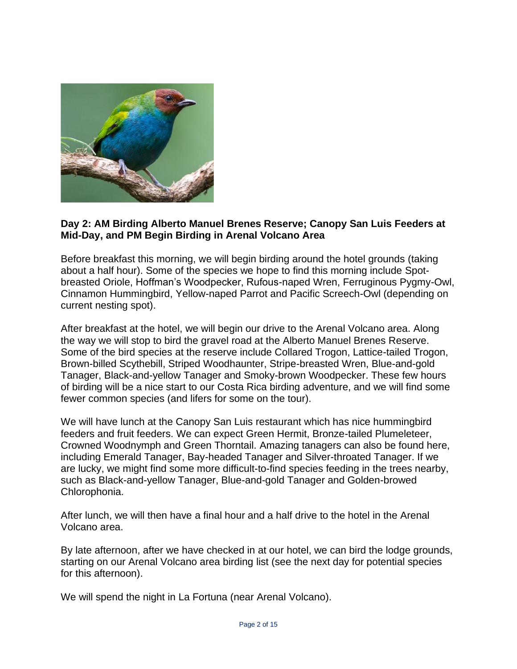

#### **Day 2: AM Birding Alberto Manuel Brenes Reserve; Canopy San Luis Feeders at Mid-Day, and PM Begin Birding in Arenal Volcano Area**

Before breakfast this morning, we will begin birding around the hotel grounds (taking about a half hour). Some of the species we hope to find this morning include Spotbreasted Oriole, Hoffman's Woodpecker, Rufous-naped Wren, Ferruginous Pygmy-Owl, Cinnamon Hummingbird, Yellow-naped Parrot and Pacific Screech-Owl (depending on current nesting spot).

After breakfast at the hotel, we will begin our drive to the Arenal Volcano area. Along the way we will stop to bird the gravel road at the Alberto Manuel Brenes Reserve. Some of the bird species at the reserve include Collared Trogon, Lattice-tailed Trogon, Brown-billed Scythebill, Striped Woodhaunter, Stripe-breasted Wren, Blue-and-gold Tanager, Black-and-yellow Tanager and Smoky-brown Woodpecker. These few hours of birding will be a nice start to our Costa Rica birding adventure, and we will find some fewer common species (and lifers for some on the tour).

We will have lunch at the Canopy San Luis restaurant which has nice hummingbird feeders and fruit feeders. We can expect Green Hermit, Bronze-tailed Plumeleteer, Crowned Woodnymph and Green Thorntail. Amazing tanagers can also be found here, including Emerald Tanager, Bay-headed Tanager and Silver-throated Tanager. If we are lucky, we might find some more difficult-to-find species feeding in the trees nearby, such as Black-and-yellow Tanager, Blue-and-gold Tanager and Golden-browed Chlorophonia.

After lunch, we will then have a final hour and a half drive to the hotel in the Arenal Volcano area.

By late afternoon, after we have checked in at our hotel, we can bird the lodge grounds, starting on our Arenal Volcano area birding list (see the next day for potential species for this afternoon).

We will spend the night in La Fortuna (near Arenal Volcano).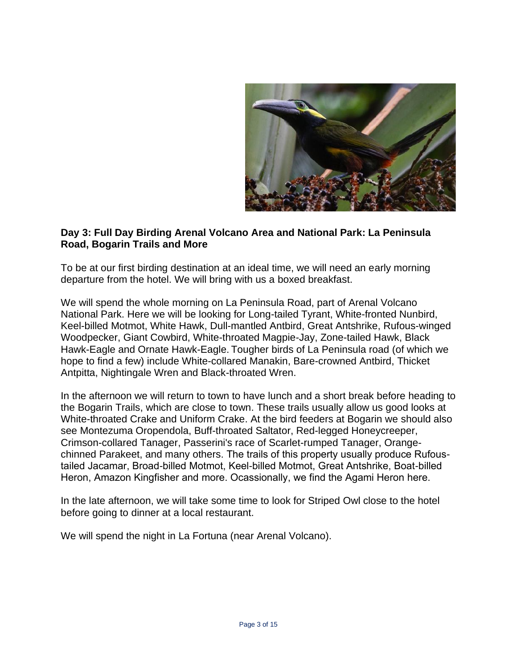

#### **Day 3: Full Day Birding Arenal Volcano Area and National Park: La Peninsula Road, Bogarin Trails and More**

To be at our first birding destination at an ideal time, we will need an early morning departure from the hotel. We will bring with us a boxed breakfast.

We will spend the whole morning on La Peninsula Road, part of Arenal Volcano National Park. Here we will be looking for Long-tailed Tyrant, White-fronted Nunbird, Keel-billed Motmot, White Hawk, Dull-mantled Antbird, Great Antshrike, Rufous-winged Woodpecker, Giant Cowbird, White-throated Magpie-Jay, Zone-tailed Hawk, Black Hawk-Eagle and Ornate Hawk-Eagle. Tougher birds of La Peninsula road (of which we hope to find a few) include White-collared Manakin, Bare-crowned Antbird, Thicket Antpitta, Nightingale Wren and Black-throated Wren.

In the afternoon we will return to town to have lunch and a short break before heading to the Bogarin Trails, which are close to town. These trails usually allow us good looks at White-throated Crake and Uniform Crake. At the bird feeders at Bogarin we should also see Montezuma Oropendola, Buff-throated Saltator, Red-legged Honeycreeper, Crimson-collared Tanager, Passerini's race of Scarlet-rumped Tanager, Orangechinned Parakeet, and many others. The trails of this property usually produce Rufoustailed Jacamar, Broad-billed Motmot, Keel-billed Motmot, Great Antshrike, Boat-billed Heron, Amazon Kingfisher and more. Ocassionally, we find the Agami Heron here.

In the late afternoon, we will take some time to look for Striped Owl close to the hotel before going to dinner at a local restaurant.

We will spend the night in La Fortuna (near Arenal Volcano).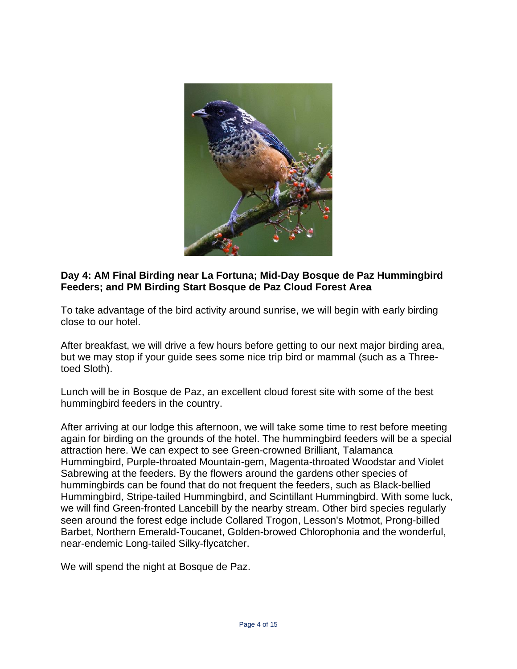

### **Day 4: AM Final Birding near La Fortuna; Mid-Day Bosque de Paz Hummingbird Feeders; and PM Birding Start Bosque de Paz Cloud Forest Area**

To take advantage of the bird activity around sunrise, we will begin with early birding close to our hotel.

After breakfast, we will drive a few hours before getting to our next major birding area, but we may stop if your guide sees some nice trip bird or mammal (such as a Threetoed Sloth).

Lunch will be in Bosque de Paz, an excellent cloud forest site with some of the best hummingbird feeders in the country.

After arriving at our lodge this afternoon, we will take some time to rest before meeting again for birding on the grounds of the hotel. The hummingbird feeders will be a special attraction here. We can expect to see Green-crowned Brilliant, Talamanca Hummingbird, Purple-throated Mountain-gem, Magenta-throated Woodstar and Violet Sabrewing at the feeders. By the flowers around the gardens other species of hummingbirds can be found that do not frequent the feeders, such as Black-bellied Hummingbird, Stripe-tailed Hummingbird, and Scintillant Hummingbird. With some luck, we will find Green-fronted Lancebill by the nearby stream. Other bird species regularly seen around the forest edge include Collared Trogon, Lesson's Motmot, Prong-billed Barbet, Northern Emerald-Toucanet, Golden-browed Chlorophonia and the wonderful, near-endemic Long-tailed Silky-flycatcher.

We will spend the night at Bosque de Paz.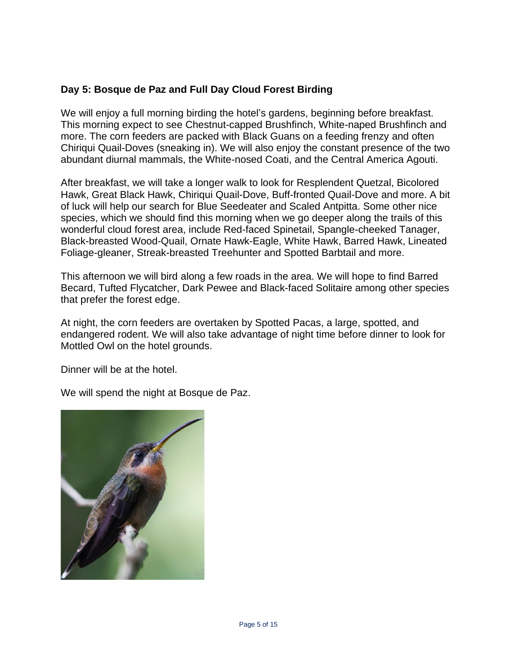# **Day 5: Bosque de Paz and Full Day Cloud Forest Birding**

We will enjoy a full morning birding the hotel's gardens, beginning before breakfast. This morning expect to see Chestnut-capped Brushfinch, White-naped Brushfinch and more. The corn feeders are packed with Black Guans on a feeding frenzy and often Chiriqui Quail-Doves (sneaking in). We will also enjoy the constant presence of the two abundant diurnal mammals, the White-nosed Coati, and the Central America Agouti.

After breakfast, we will take a longer walk to look for Resplendent Quetzal, Bicolored Hawk, Great Black Hawk, Chiriqui Quail-Dove, Buff-fronted Quail-Dove and more. A bit of luck will help our search for Blue Seedeater and Scaled Antpitta. Some other nice species, which we should find this morning when we go deeper along the trails of this wonderful cloud forest area, include Red-faced Spinetail, Spangle-cheeked Tanager, Black-breasted Wood-Quail, Ornate Hawk-Eagle, White Hawk, Barred Hawk, Lineated Foliage-gleaner, Streak-breasted Treehunter and Spotted Barbtail and more.

This afternoon we will bird along a few roads in the area. We will hope to find Barred Becard, Tufted Flycatcher, Dark Pewee and Black-faced Solitaire among other species that prefer the forest edge.

At night, the corn feeders are overtaken by Spotted Pacas, a large, spotted, and endangered rodent. We will also take advantage of night time before dinner to look for Mottled Owl on the hotel grounds.

Dinner will be at the hotel.

We will spend the night at Bosque de Paz.

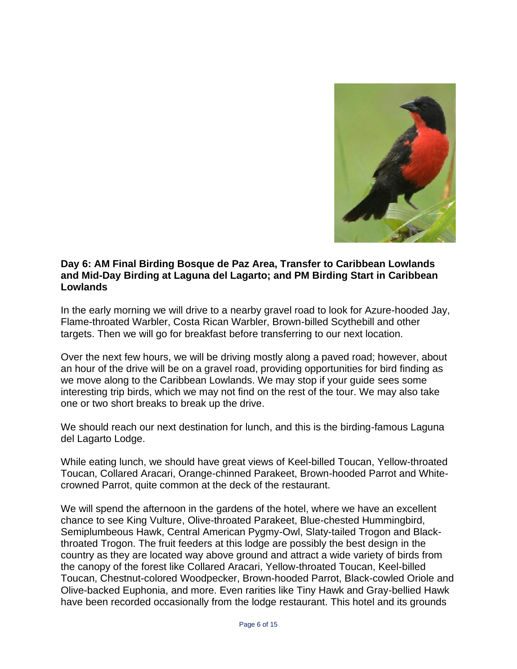

#### **Day 6: AM Final Birding Bosque de Paz Area, Transfer to Caribbean Lowlands and Mid-Day Birding at Laguna del Lagarto; and PM Birding Start in Caribbean Lowlands**

In the early morning we will drive to a nearby gravel road to look for Azure-hooded Jay, Flame-throated Warbler, Costa Rican Warbler, Brown-billed Scythebill and other targets. Then we will go for breakfast before transferring to our next location.

Over the next few hours, we will be driving mostly along a paved road; however, about an hour of the drive will be on a gravel road, providing opportunities for bird finding as we move along to the Caribbean Lowlands. We may stop if your guide sees some interesting trip birds, which we may not find on the rest of the tour. We may also take one or two short breaks to break up the drive.

We should reach our next destination for lunch, and this is the birding-famous Laguna del Lagarto Lodge.

While eating lunch, we should have great views of Keel-billed Toucan, Yellow-throated Toucan, Collared Aracari, Orange-chinned Parakeet, Brown-hooded Parrot and Whitecrowned Parrot, quite common at the deck of the restaurant.

We will spend the afternoon in the gardens of the hotel, where we have an excellent chance to see King Vulture, Olive-throated Parakeet, Blue-chested Hummingbird, Semiplumbeous Hawk, Central American Pygmy-Owl, Slaty-tailed Trogon and Blackthroated Trogon. The fruit feeders at this lodge are possibly the best design in the country as they are located way above ground and attract a wide variety of birds from the canopy of the forest like Collared Aracari, Yellow-throated Toucan, Keel-billed Toucan, Chestnut-colored Woodpecker, Brown-hooded Parrot, Black-cowled Oriole and Olive-backed Euphonia, and more. Even rarities like Tiny Hawk and Gray-bellied Hawk have been recorded occasionally from the lodge restaurant. This hotel and its grounds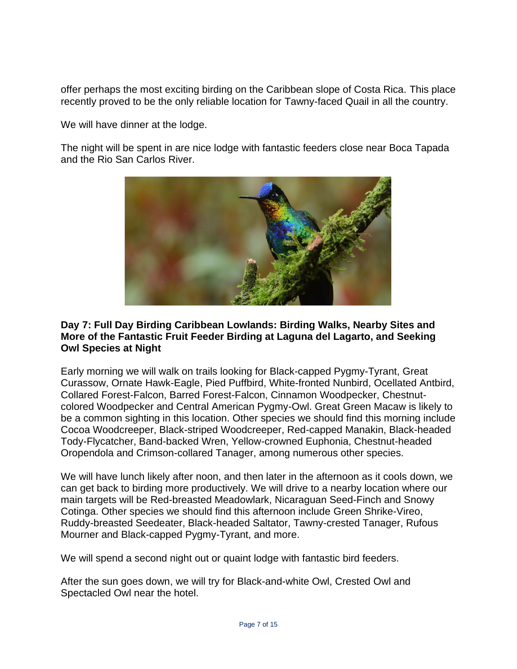offer perhaps the most exciting birding on the Caribbean slope of Costa Rica. This place recently proved to be the only reliable location for Tawny-faced Quail in all the country.

We will have dinner at the lodge.

The night will be spent in are nice lodge with fantastic feeders close near Boca Tapada and the Rio San Carlos River.



#### **Day 7: Full Day Birding Caribbean Lowlands: Birding Walks, Nearby Sites and More of the Fantastic Fruit Feeder Birding at Laguna del Lagarto, and Seeking Owl Species at Night**

Early morning we will walk on trails looking for Black-capped Pygmy-Tyrant, Great Curassow, Ornate Hawk-Eagle, Pied Puffbird, White-fronted Nunbird, Ocellated Antbird, Collared Forest-Falcon, Barred Forest-Falcon, Cinnamon Woodpecker, Chestnutcolored Woodpecker and Central American Pygmy-Owl. Great Green Macaw is likely to be a common sighting in this location. Other species we should find this morning include Cocoa Woodcreeper, Black-striped Woodcreeper, Red-capped Manakin, Black-headed Tody-Flycatcher, Band-backed Wren, Yellow-crowned Euphonia, Chestnut-headed Oropendola and Crimson-collared Tanager, among numerous other species.

We will have lunch likely after noon, and then later in the afternoon as it cools down, we can get back to birding more productively. We will drive to a nearby location where our main targets will be Red-breasted Meadowlark, Nicaraguan Seed-Finch and Snowy Cotinga. Other species we should find this afternoon include Green Shrike-Vireo, Ruddy-breasted Seedeater, Black-headed Saltator, Tawny-crested Tanager, Rufous Mourner and Black-capped Pygmy-Tyrant, and more.

We will spend a second night out or quaint lodge with fantastic bird feeders.

After the sun goes down, we will try for Black-and-white Owl, Crested Owl and Spectacled Owl near the hotel.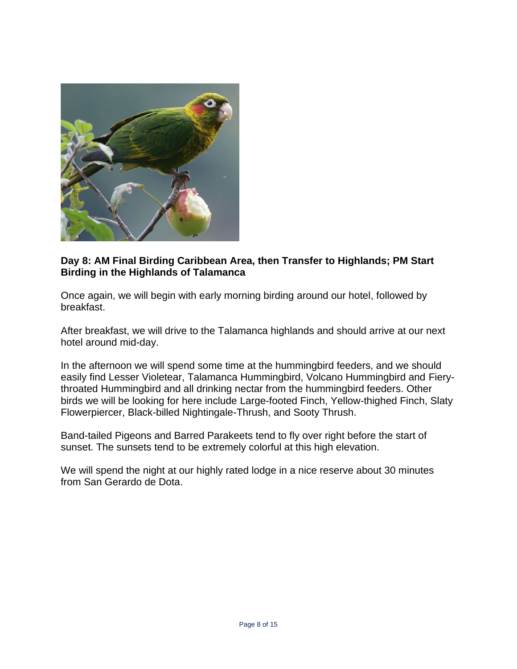

#### **Day 8: AM Final Birding Caribbean Area, then Transfer to Highlands; PM Start Birding in the Highlands of Talamanca**

Once again, we will begin with early morning birding around our hotel, followed by breakfast.

After breakfast, we will drive to the Talamanca highlands and should arrive at our next hotel around mid-day.

In the afternoon we will spend some time at the hummingbird feeders, and we should easily find Lesser Violetear, Talamanca Hummingbird, Volcano Hummingbird and Fierythroated Hummingbird and all drinking nectar from the hummingbird feeders. Other birds we will be looking for here include Large-footed Finch, Yellow-thighed Finch, Slaty Flowerpiercer, Black-billed Nightingale-Thrush, and Sooty Thrush.

Band-tailed Pigeons and Barred Parakeets tend to fly over right before the start of sunset. The sunsets tend to be extremely colorful at this high elevation.

We will spend the night at our highly rated lodge in a nice reserve about 30 minutes from San Gerardo de Dota.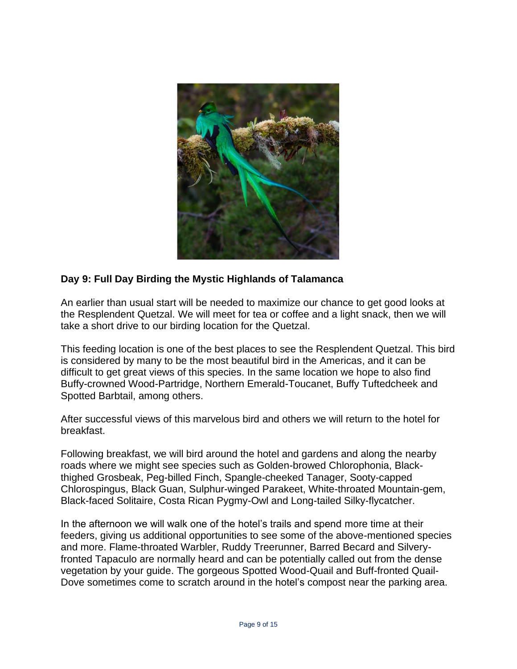

### **Day 9: Full Day Birding the Mystic Highlands of Talamanca**

An earlier than usual start will be needed to maximize our chance to get good looks at the Resplendent Quetzal. We will meet for tea or coffee and a light snack, then we will take a short drive to our birding location for the Quetzal.

This feeding location is one of the best places to see the Resplendent Quetzal. This bird is considered by many to be the most beautiful bird in the Americas, and it can be difficult to get great views of this species. In the same location we hope to also find Buffy-crowned Wood-Partridge, Northern Emerald-Toucanet, Buffy Tuftedcheek and Spotted Barbtail, among others.

After successful views of this marvelous bird and others we will return to the hotel for breakfast.

Following breakfast, we will bird around the hotel and gardens and along the nearby roads where we might see species such as Golden-browed Chlorophonia, Blackthighed Grosbeak, Peg-billed Finch, Spangle-cheeked Tanager, Sooty-capped Chlorospingus, Black Guan, Sulphur-winged Parakeet, White-throated Mountain-gem, Black-faced Solitaire, Costa Rican Pygmy-Owl and Long-tailed Silky-flycatcher.

In the afternoon we will walk one of the hotel's trails and spend more time at their feeders, giving us additional opportunities to see some of the above-mentioned species and more. Flame-throated Warbler, Ruddy Treerunner, Barred Becard and Silveryfronted Tapaculo are normally heard and can be potentially called out from the dense vegetation by your guide. The gorgeous Spotted Wood-Quail and Buff-fronted Quail-Dove sometimes come to scratch around in the hotel's compost near the parking area.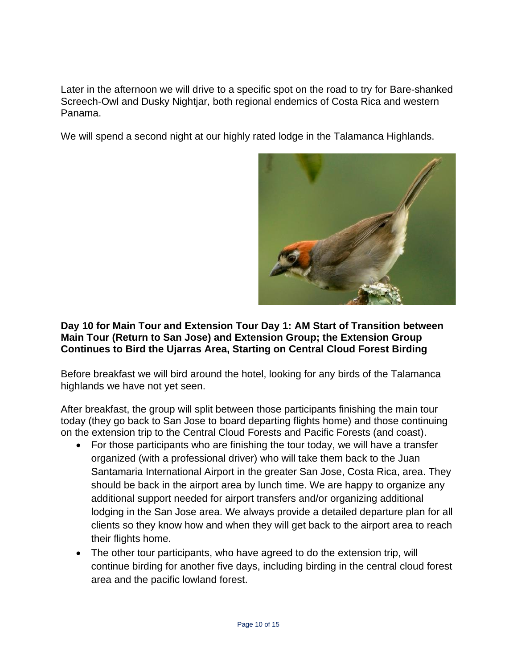Later in the afternoon we will drive to a specific spot on the road to try for Bare-shanked Screech-Owl and Dusky Nightjar, both regional endemics of Costa Rica and western Panama.

We will spend a second night at our highly rated lodge in the Talamanca Highlands.



### **Day 10 for Main Tour and Extension Tour Day 1: AM Start of Transition between Main Tour (Return to San Jose) and Extension Group; the Extension Group Continues to Bird the Ujarras Area, Starting on Central Cloud Forest Birding**

Before breakfast we will bird around the hotel, looking for any birds of the Talamanca highlands we have not yet seen.

After breakfast, the group will split between those participants finishing the main tour today (they go back to San Jose to board departing flights home) and those continuing on the extension trip to the Central Cloud Forests and Pacific Forests (and coast).

- For those participants who are finishing the tour today, we will have a transfer organized (with a professional driver) who will take them back to the Juan Santamaria International Airport in the greater San Jose, Costa Rica, area. They should be back in the airport area by lunch time. We are happy to organize any additional support needed for airport transfers and/or organizing additional lodging in the San Jose area. We always provide a detailed departure plan for all clients so they know how and when they will get back to the airport area to reach their flights home.
- The other tour participants, who have agreed to do the extension trip, will continue birding for another five days, including birding in the central cloud forest area and the pacific lowland forest.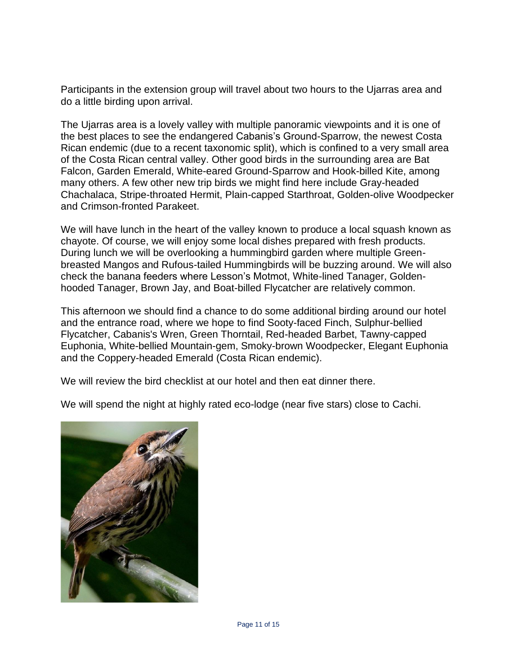Participants in the extension group will travel about two hours to the Ujarras area and do a little birding upon arrival.

The Ujarras area is a lovely valley with multiple panoramic viewpoints and it is one of the best places to see the endangered Cabanis's Ground-Sparrow, the newest Costa Rican endemic (due to a recent taxonomic split), which is confined to a very small area of the Costa Rican central valley. Other good birds in the surrounding area are Bat Falcon, Garden Emerald, White-eared Ground-Sparrow and Hook-billed Kite, among many others. A few other new trip birds we might find here include Gray-headed Chachalaca, Stripe-throated Hermit, Plain-capped Starthroat, Golden-olive Woodpecker and Crimson-fronted Parakeet.

We will have lunch in the heart of the valley known to produce a local squash known as chayote. Of course, we will enjoy some local dishes prepared with fresh products. During lunch we will be overlooking a hummingbird garden where multiple Greenbreasted Mangos and Rufous-tailed Hummingbirds will be buzzing around. We will also check the banana feeders where Lesson's Motmot, White-lined Tanager, Goldenhooded Tanager, Brown Jay, and Boat-billed Flycatcher are relatively common.

This afternoon we should find a chance to do some additional birding around our hotel and the entrance road, where we hope to find Sooty-faced Finch, Sulphur-bellied Flycatcher, Cabanis's Wren, Green Thorntail, Red-headed Barbet, Tawny-capped Euphonia, White-bellied Mountain-gem, Smoky-brown Woodpecker, Elegant Euphonia and the Coppery-headed Emerald (Costa Rican endemic).

We will review the bird checklist at our hotel and then eat dinner there.

We will spend the night at highly rated eco-lodge (near five stars) close to Cachi.

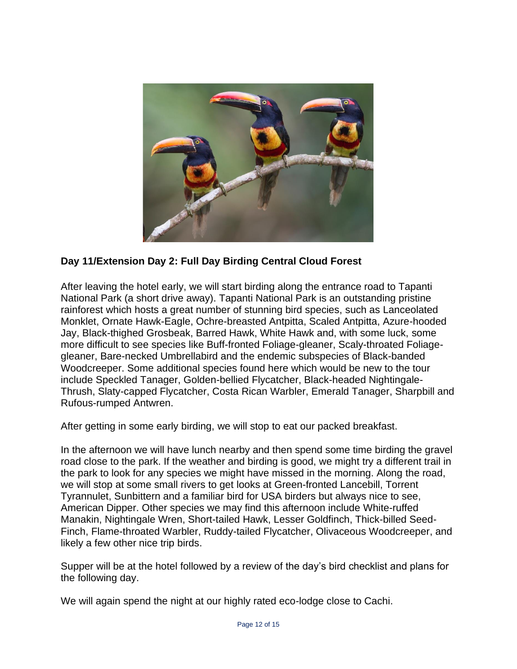

# **Day 11/Extension Day 2: Full Day Birding Central Cloud Forest**

After leaving the hotel early, we will start birding along the entrance road to Tapanti National Park (a short drive away). Tapanti National Park is an outstanding pristine rainforest which hosts a great number of stunning bird species, such as Lanceolated Monklet, Ornate Hawk-Eagle, Ochre-breasted Antpitta, Scaled Antpitta, Azure-hooded Jay, Black-thighed Grosbeak, Barred Hawk, White Hawk and, with some luck, some more difficult to see species like Buff-fronted Foliage-gleaner, Scaly-throated Foliagegleaner, Bare-necked Umbrellabird and the endemic subspecies of Black-banded Woodcreeper. Some additional species found here which would be new to the tour include Speckled Tanager, Golden-bellied Flycatcher, Black-headed Nightingale-Thrush, Slaty-capped Flycatcher, Costa Rican Warbler, Emerald Tanager, Sharpbill and Rufous-rumped Antwren.

After getting in some early birding, we will stop to eat our packed breakfast.

In the afternoon we will have lunch nearby and then spend some time birding the gravel road close to the park. If the weather and birding is good, we might try a different trail in the park to look for any species we might have missed in the morning. Along the road, we will stop at some small rivers to get looks at Green-fronted Lancebill, Torrent Tyrannulet, Sunbittern and a familiar bird for USA birders but always nice to see, American Dipper. Other species we may find this afternoon include White-ruffed Manakin, Nightingale Wren, Short-tailed Hawk, Lesser Goldfinch, Thick-billed Seed-Finch, Flame-throated Warbler, Ruddy-tailed Flycatcher, Olivaceous Woodcreeper, and likely a few other nice trip birds.

Supper will be at the hotel followed by a review of the day's bird checklist and plans for the following day.

We will again spend the night at our highly rated eco-lodge close to Cachi.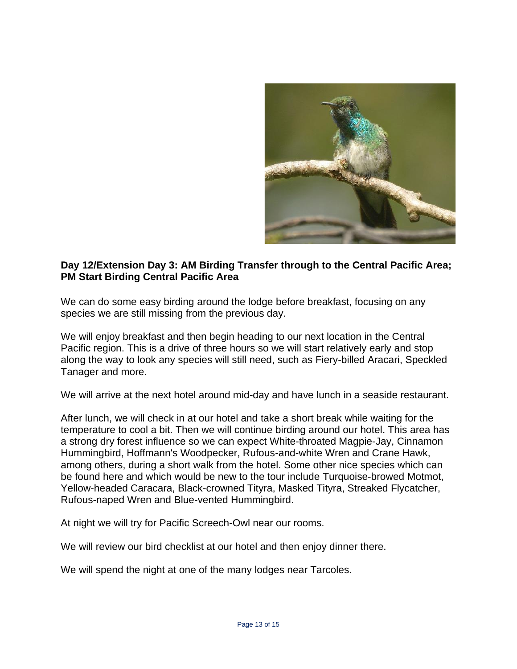

#### **Day 12/Extension Day 3: AM Birding Transfer through to the Central Pacific Area; PM Start Birding Central Pacific Area**

We can do some easy birding around the lodge before breakfast, focusing on any species we are still missing from the previous day.

We will enjoy breakfast and then begin heading to our next location in the Central Pacific region. This is a drive of three hours so we will start relatively early and stop along the way to look any species will still need, such as Fiery-billed Aracari, Speckled Tanager and more.

We will arrive at the next hotel around mid-day and have lunch in a seaside restaurant.

After lunch, we will check in at our hotel and take a short break while waiting for the temperature to cool a bit. Then we will continue birding around our hotel. This area has a strong dry forest influence so we can expect White-throated Magpie-Jay, Cinnamon Hummingbird, Hoffmann's Woodpecker, Rufous-and-white Wren and Crane Hawk, among others, during a short walk from the hotel. Some other nice species which can be found here and which would be new to the tour include Turquoise-browed Motmot, Yellow-headed Caracara, Black-crowned Tityra, Masked Tityra, Streaked Flycatcher, Rufous-naped Wren and Blue-vented Hummingbird.

At night we will try for Pacific Screech-Owl near our rooms.

We will review our bird checklist at our hotel and then enjoy dinner there.

We will spend the night at one of the many lodges near Tarcoles.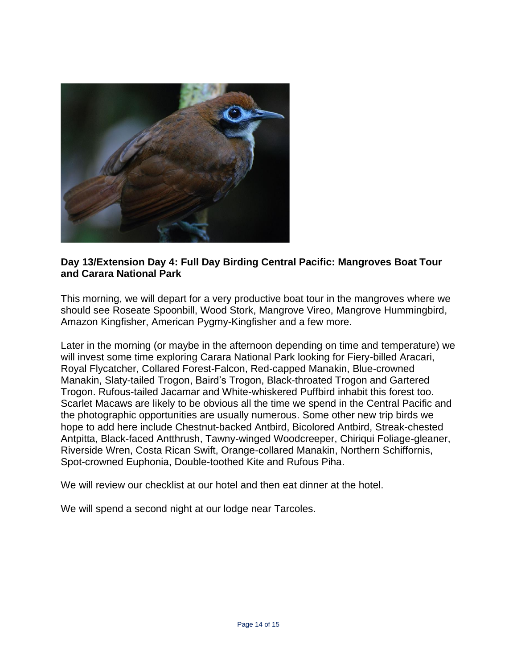

# **Day 13/Extension Day 4: Full Day Birding Central Pacific: Mangroves Boat Tour and Carara National Park**

This morning, we will depart for a very productive boat tour in the mangroves where we should see Roseate Spoonbill, Wood Stork, Mangrove Vireo, Mangrove Hummingbird, Amazon Kingfisher, American Pygmy-Kingfisher and a few more.

Later in the morning (or maybe in the afternoon depending on time and temperature) we will invest some time exploring Carara National Park looking for Fiery-billed Aracari, Royal Flycatcher, Collared Forest-Falcon, Red-capped Manakin, Blue-crowned Manakin, Slaty-tailed Trogon, Baird's Trogon, Black-throated Trogon and Gartered Trogon. Rufous-tailed Jacamar and White-whiskered Puffbird inhabit this forest too. Scarlet Macaws are likely to be obvious all the time we spend in the Central Pacific and the photographic opportunities are usually numerous. Some other new trip birds we hope to add here include Chestnut-backed Antbird, Bicolored Antbird, Streak-chested Antpitta, Black-faced Antthrush, Tawny-winged Woodcreeper, Chiriqui Foliage-gleaner, Riverside Wren, Costa Rican Swift, Orange-collared Manakin, Northern Schiffornis, Spot-crowned Euphonia, Double-toothed Kite and Rufous Piha.

We will review our checklist at our hotel and then eat dinner at the hotel.

We will spend a second night at our lodge near Tarcoles.